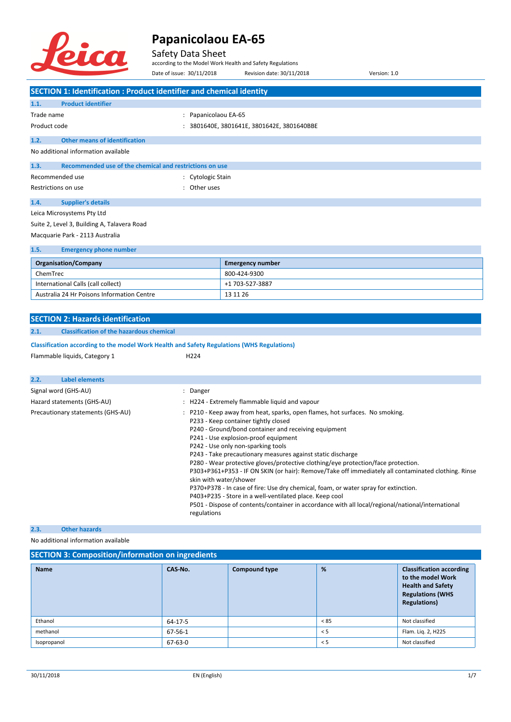

#### Safety Data Sheet

according to the Model Work Health and Safety Regulations

|              |                                                                                                   |                           | according to the Model Work Health and Safety Regulations                                                                                                                                                                                                                                                                                                                                                                                                                                                                                                                                  |                                                                                                                                                                                                          |
|--------------|---------------------------------------------------------------------------------------------------|---------------------------|--------------------------------------------------------------------------------------------------------------------------------------------------------------------------------------------------------------------------------------------------------------------------------------------------------------------------------------------------------------------------------------------------------------------------------------------------------------------------------------------------------------------------------------------------------------------------------------------|----------------------------------------------------------------------------------------------------------------------------------------------------------------------------------------------------------|
|              |                                                                                                   | Date of issue: 30/11/2018 | Revision date: 30/11/2018                                                                                                                                                                                                                                                                                                                                                                                                                                                                                                                                                                  | Version: 1.0                                                                                                                                                                                             |
|              | <b>SECTION 1: Identification : Product identifier and chemical identity</b>                       |                           |                                                                                                                                                                                                                                                                                                                                                                                                                                                                                                                                                                                            |                                                                                                                                                                                                          |
| 1.1.         | <b>Product identifier</b>                                                                         |                           |                                                                                                                                                                                                                                                                                                                                                                                                                                                                                                                                                                                            |                                                                                                                                                                                                          |
| Trade name   |                                                                                                   | : Papanicolaou EA-65      |                                                                                                                                                                                                                                                                                                                                                                                                                                                                                                                                                                                            |                                                                                                                                                                                                          |
| Product code |                                                                                                   |                           | : 3801640E, 3801641E, 3801642E, 3801640BBE                                                                                                                                                                                                                                                                                                                                                                                                                                                                                                                                                 |                                                                                                                                                                                                          |
| 1.2.         | <b>Other means of identification</b>                                                              |                           |                                                                                                                                                                                                                                                                                                                                                                                                                                                                                                                                                                                            |                                                                                                                                                                                                          |
|              | No additional information available                                                               |                           |                                                                                                                                                                                                                                                                                                                                                                                                                                                                                                                                                                                            |                                                                                                                                                                                                          |
| 1.3.         | Recommended use of the chemical and restrictions on use                                           |                           |                                                                                                                                                                                                                                                                                                                                                                                                                                                                                                                                                                                            |                                                                                                                                                                                                          |
|              | Recommended use                                                                                   | : Cytologic Stain         |                                                                                                                                                                                                                                                                                                                                                                                                                                                                                                                                                                                            |                                                                                                                                                                                                          |
|              | Restrictions on use                                                                               | : Other uses              |                                                                                                                                                                                                                                                                                                                                                                                                                                                                                                                                                                                            |                                                                                                                                                                                                          |
|              |                                                                                                   |                           |                                                                                                                                                                                                                                                                                                                                                                                                                                                                                                                                                                                            |                                                                                                                                                                                                          |
| 1.4.         | <b>Supplier's details</b>                                                                         |                           |                                                                                                                                                                                                                                                                                                                                                                                                                                                                                                                                                                                            |                                                                                                                                                                                                          |
|              | Leica Microsystems Pty Ltd                                                                        |                           |                                                                                                                                                                                                                                                                                                                                                                                                                                                                                                                                                                                            |                                                                                                                                                                                                          |
|              | Suite 2, Level 3, Building A, Talavera Road                                                       |                           |                                                                                                                                                                                                                                                                                                                                                                                                                                                                                                                                                                                            |                                                                                                                                                                                                          |
|              | Macquarie Park - 2113 Australia                                                                   |                           |                                                                                                                                                                                                                                                                                                                                                                                                                                                                                                                                                                                            |                                                                                                                                                                                                          |
| 1.5.         | <b>Emergency phone number</b>                                                                     |                           |                                                                                                                                                                                                                                                                                                                                                                                                                                                                                                                                                                                            |                                                                                                                                                                                                          |
|              | <b>Organisation/Company</b>                                                                       |                           | <b>Emergency number</b>                                                                                                                                                                                                                                                                                                                                                                                                                                                                                                                                                                    |                                                                                                                                                                                                          |
| ChemTrec     |                                                                                                   |                           | 800-424-9300                                                                                                                                                                                                                                                                                                                                                                                                                                                                                                                                                                               |                                                                                                                                                                                                          |
|              | International Calls (call collect)                                                                |                           | +1 703-527-3887                                                                                                                                                                                                                                                                                                                                                                                                                                                                                                                                                                            |                                                                                                                                                                                                          |
|              | Australia 24 Hr Poisons Information Centre                                                        |                           | 13 11 26                                                                                                                                                                                                                                                                                                                                                                                                                                                                                                                                                                                   |                                                                                                                                                                                                          |
|              |                                                                                                   |                           |                                                                                                                                                                                                                                                                                                                                                                                                                                                                                                                                                                                            |                                                                                                                                                                                                          |
|              | <b>SECTION 2: Hazards identification</b>                                                          |                           |                                                                                                                                                                                                                                                                                                                                                                                                                                                                                                                                                                                            |                                                                                                                                                                                                          |
| 2.1.         | <b>Classification of the hazardous chemical</b>                                                   |                           |                                                                                                                                                                                                                                                                                                                                                                                                                                                                                                                                                                                            |                                                                                                                                                                                                          |
|              | <b>Classification according to the model Work Health and Safety Regulations (WHS Regulations)</b> |                           |                                                                                                                                                                                                                                                                                                                                                                                                                                                                                                                                                                                            |                                                                                                                                                                                                          |
|              | Flammable liquids, Category 1                                                                     | H <sub>224</sub>          |                                                                                                                                                                                                                                                                                                                                                                                                                                                                                                                                                                                            |                                                                                                                                                                                                          |
|              |                                                                                                   |                           |                                                                                                                                                                                                                                                                                                                                                                                                                                                                                                                                                                                            |                                                                                                                                                                                                          |
| 2.2.         | <b>Label elements</b>                                                                             |                           |                                                                                                                                                                                                                                                                                                                                                                                                                                                                                                                                                                                            |                                                                                                                                                                                                          |
|              | Signal word (GHS-AU)                                                                              | : Danger                  |                                                                                                                                                                                                                                                                                                                                                                                                                                                                                                                                                                                            |                                                                                                                                                                                                          |
|              | Hazard statements (GHS-AU)                                                                        |                           | : H224 - Extremely flammable liquid and vapour                                                                                                                                                                                                                                                                                                                                                                                                                                                                                                                                             |                                                                                                                                                                                                          |
|              | Precautionary statements (GHS-AU)                                                                 | regulations               | : P210 - Keep away from heat, sparks, open flames, hot surfaces. No smoking.<br>P233 - Keep container tightly closed<br>P240 - Ground/bond container and receiving equipment<br>P241 - Use explosion-proof equipment<br>P242 - Use only non-sparking tools<br>P243 - Take precautionary measures against static discharge<br>P280 - Wear protective gloves/protective clothing/eye protection/face protection.<br>skin with water/shower<br>P370+P378 - In case of fire: Use dry chemical, foam, or water spray for extinction.<br>P403+P235 - Store in a well-ventilated place. Keep cool | P303+P361+P353 - IF ON SKIN (or hair): Remove/Take off immediately all contaminated clothing. Rinse<br>P501 - Dispose of contents/container in accordance with all local/regional/national/international |
| 2.3.         | <b>Other hazards</b>                                                                              |                           |                                                                                                                                                                                                                                                                                                                                                                                                                                                                                                                                                                                            |                                                                                                                                                                                                          |

No additional information available

#### **SECTION 3: Composition/information on ingredients**

| <b>Name</b> | CAS-No. | <b>Compound type</b> | %    | <b>Classification according</b><br>to the model Work<br><b>Health and Safety</b><br><b>Regulations (WHS</b><br><b>Regulations)</b> |
|-------------|---------|----------------------|------|------------------------------------------------------------------------------------------------------------------------------------|
| Ethanol     | 64-17-5 |                      | < 85 | Not classified                                                                                                                     |
| methanol    | 67-56-1 |                      | < 5  | Flam. Lig. 2, H225                                                                                                                 |
| Isopropanol | 67-63-0 |                      | < 5  | Not classified                                                                                                                     |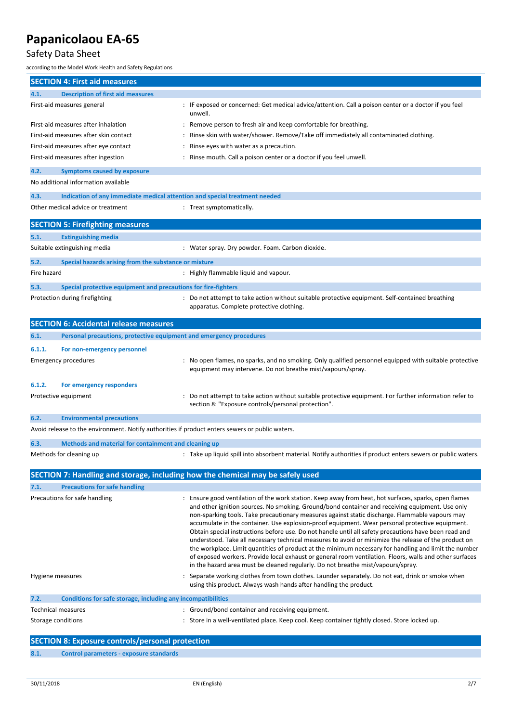### Safety Data Sheet

according to the Model Work Health and Safety Regulations

| <b>SECTION 4: First aid measures</b>                                                            |                                                                                                                                                                                                                                                                                                                                                                                                                                                                                                                                                                                                                                                                                                                                                                                                                                                                                                                                       |
|-------------------------------------------------------------------------------------------------|---------------------------------------------------------------------------------------------------------------------------------------------------------------------------------------------------------------------------------------------------------------------------------------------------------------------------------------------------------------------------------------------------------------------------------------------------------------------------------------------------------------------------------------------------------------------------------------------------------------------------------------------------------------------------------------------------------------------------------------------------------------------------------------------------------------------------------------------------------------------------------------------------------------------------------------|
| <b>Description of first aid measures</b><br>4.1.                                                |                                                                                                                                                                                                                                                                                                                                                                                                                                                                                                                                                                                                                                                                                                                                                                                                                                                                                                                                       |
| First-aid measures general                                                                      | : IF exposed or concerned: Get medical advice/attention. Call a poison center or a doctor if you feel<br>unwell.                                                                                                                                                                                                                                                                                                                                                                                                                                                                                                                                                                                                                                                                                                                                                                                                                      |
| First-aid measures after inhalation                                                             | Remove person to fresh air and keep comfortable for breathing.                                                                                                                                                                                                                                                                                                                                                                                                                                                                                                                                                                                                                                                                                                                                                                                                                                                                        |
| First-aid measures after skin contact                                                           | Rinse skin with water/shower. Remove/Take off immediately all contaminated clothing.                                                                                                                                                                                                                                                                                                                                                                                                                                                                                                                                                                                                                                                                                                                                                                                                                                                  |
| First-aid measures after eye contact                                                            | Rinse eyes with water as a precaution.                                                                                                                                                                                                                                                                                                                                                                                                                                                                                                                                                                                                                                                                                                                                                                                                                                                                                                |
| First-aid measures after ingestion                                                              | Rinse mouth. Call a poison center or a doctor if you feel unwell.                                                                                                                                                                                                                                                                                                                                                                                                                                                                                                                                                                                                                                                                                                                                                                                                                                                                     |
| 4.2.<br><b>Symptoms caused by exposure</b>                                                      |                                                                                                                                                                                                                                                                                                                                                                                                                                                                                                                                                                                                                                                                                                                                                                                                                                                                                                                                       |
| No additional information available                                                             |                                                                                                                                                                                                                                                                                                                                                                                                                                                                                                                                                                                                                                                                                                                                                                                                                                                                                                                                       |
| Indication of any immediate medical attention and special treatment needed<br>4.3.              |                                                                                                                                                                                                                                                                                                                                                                                                                                                                                                                                                                                                                                                                                                                                                                                                                                                                                                                                       |
| Other medical advice or treatment                                                               | : Treat symptomatically.                                                                                                                                                                                                                                                                                                                                                                                                                                                                                                                                                                                                                                                                                                                                                                                                                                                                                                              |
| <b>SECTION 5: Firefighting measures</b>                                                         |                                                                                                                                                                                                                                                                                                                                                                                                                                                                                                                                                                                                                                                                                                                                                                                                                                                                                                                                       |
| 5.1.<br><b>Extinguishing media</b>                                                              |                                                                                                                                                                                                                                                                                                                                                                                                                                                                                                                                                                                                                                                                                                                                                                                                                                                                                                                                       |
| Suitable extinguishing media                                                                    | : Water spray. Dry powder. Foam. Carbon dioxide.                                                                                                                                                                                                                                                                                                                                                                                                                                                                                                                                                                                                                                                                                                                                                                                                                                                                                      |
| 5.2.<br>Special hazards arising from the substance or mixture                                   |                                                                                                                                                                                                                                                                                                                                                                                                                                                                                                                                                                                                                                                                                                                                                                                                                                                                                                                                       |
| Fire hazard                                                                                     | : Highly flammable liquid and vapour.                                                                                                                                                                                                                                                                                                                                                                                                                                                                                                                                                                                                                                                                                                                                                                                                                                                                                                 |
| 5.3.<br>Special protective equipment and precautions for fire-fighters                          |                                                                                                                                                                                                                                                                                                                                                                                                                                                                                                                                                                                                                                                                                                                                                                                                                                                                                                                                       |
| Protection during firefighting                                                                  | Do not attempt to take action without suitable protective equipment. Self-contained breathing<br>apparatus. Complete protective clothing.                                                                                                                                                                                                                                                                                                                                                                                                                                                                                                                                                                                                                                                                                                                                                                                             |
| <b>SECTION 6: Accidental release measures</b>                                                   |                                                                                                                                                                                                                                                                                                                                                                                                                                                                                                                                                                                                                                                                                                                                                                                                                                                                                                                                       |
| Personal precautions, protective equipment and emergency procedures<br>6.1.                     |                                                                                                                                                                                                                                                                                                                                                                                                                                                                                                                                                                                                                                                                                                                                                                                                                                                                                                                                       |
| 6.1.1.<br>For non-emergency personnel                                                           |                                                                                                                                                                                                                                                                                                                                                                                                                                                                                                                                                                                                                                                                                                                                                                                                                                                                                                                                       |
| <b>Emergency procedures</b>                                                                     | No open flames, no sparks, and no smoking. Only qualified personnel equipped with suitable protective<br>equipment may intervene. Do not breathe mist/vapours/spray.                                                                                                                                                                                                                                                                                                                                                                                                                                                                                                                                                                                                                                                                                                                                                                  |
| 6.1.2.<br>For emergency responders                                                              |                                                                                                                                                                                                                                                                                                                                                                                                                                                                                                                                                                                                                                                                                                                                                                                                                                                                                                                                       |
| Protective equipment                                                                            | Do not attempt to take action without suitable protective equipment. For further information refer to<br>section 8: "Exposure controls/personal protection".                                                                                                                                                                                                                                                                                                                                                                                                                                                                                                                                                                                                                                                                                                                                                                          |
| <b>Environmental precautions</b><br>6.2.                                                        |                                                                                                                                                                                                                                                                                                                                                                                                                                                                                                                                                                                                                                                                                                                                                                                                                                                                                                                                       |
| Avoid release to the environment. Notify authorities if product enters sewers or public waters. |                                                                                                                                                                                                                                                                                                                                                                                                                                                                                                                                                                                                                                                                                                                                                                                                                                                                                                                                       |
| 6.3.<br>Methods and material for containment and cleaning up                                    |                                                                                                                                                                                                                                                                                                                                                                                                                                                                                                                                                                                                                                                                                                                                                                                                                                                                                                                                       |
| Methods for cleaning up                                                                         | : Take up liquid spill into absorbent material. Notify authorities if product enters sewers or public waters.                                                                                                                                                                                                                                                                                                                                                                                                                                                                                                                                                                                                                                                                                                                                                                                                                         |
| SECTION 7: Handling and storage, including how the chemical may be safely used                  |                                                                                                                                                                                                                                                                                                                                                                                                                                                                                                                                                                                                                                                                                                                                                                                                                                                                                                                                       |
| <b>Precautions for safe handling</b><br>7.1.                                                    |                                                                                                                                                                                                                                                                                                                                                                                                                                                                                                                                                                                                                                                                                                                                                                                                                                                                                                                                       |
| Precautions for safe handling                                                                   | Ensure good ventilation of the work station. Keep away from heat, hot surfaces, sparks, open flames<br>and other ignition sources. No smoking. Ground/bond container and receiving equipment. Use only<br>non-sparking tools. Take precautionary measures against static discharge. Flammable vapours may<br>accumulate in the container. Use explosion-proof equipment. Wear personal protective equipment.<br>Obtain special instructions before use. Do not handle until all safety precautions have been read and<br>understood. Take all necessary technical measures to avoid or minimize the release of the product on<br>the workplace. Limit quantities of product at the minimum necessary for handling and limit the number<br>of exposed workers. Provide local exhaust or general room ventilation. Floors, walls and other surfaces<br>in the hazard area must be cleaned regularly. Do not breathe mist/vapours/spray. |
| Hygiene measures                                                                                | Separate working clothes from town clothes. Launder separately. Do not eat, drink or smoke when<br>using this product. Always wash hands after handling the product.                                                                                                                                                                                                                                                                                                                                                                                                                                                                                                                                                                                                                                                                                                                                                                  |
| Conditions for safe storage, including any incompatibilities<br>7.2.                            |                                                                                                                                                                                                                                                                                                                                                                                                                                                                                                                                                                                                                                                                                                                                                                                                                                                                                                                                       |
| <b>Technical measures</b>                                                                       | : Ground/bond container and receiving equipment.                                                                                                                                                                                                                                                                                                                                                                                                                                                                                                                                                                                                                                                                                                                                                                                                                                                                                      |
| Storage conditions                                                                              | : Store in a well-ventilated place. Keep cool. Keep container tightly closed. Store locked up.                                                                                                                                                                                                                                                                                                                                                                                                                                                                                                                                                                                                                                                                                                                                                                                                                                        |
| <b>SECTION 8: Exposure controls/personal protection</b>                                         |                                                                                                                                                                                                                                                                                                                                                                                                                                                                                                                                                                                                                                                                                                                                                                                                                                                                                                                                       |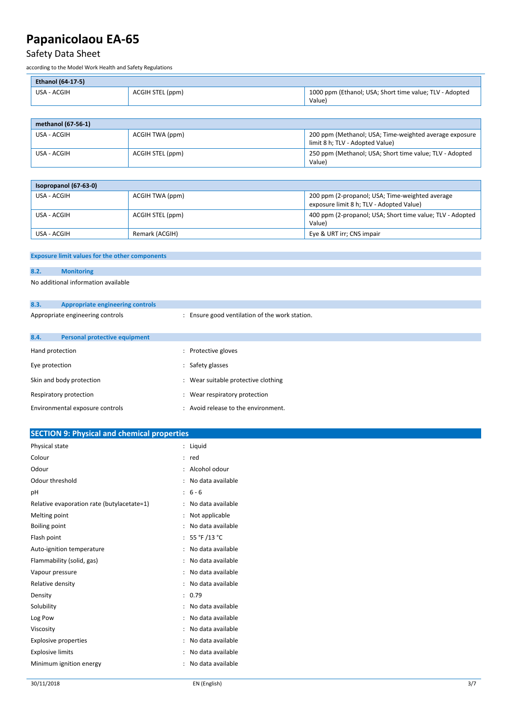### Safety Data Sheet

according to the Model Work Health and Safety Regulations

| <b>Ethanol (64-17-5)</b> |                  |                                                                   |
|--------------------------|------------------|-------------------------------------------------------------------|
| USA - ACGIH              | ACGIH STEL (ppm) | 1000 ppm (Ethanol; USA; Short time value; TLV - Adopted<br>Value) |

| methanol (67-56-1) |                  |                                                                                           |  |
|--------------------|------------------|-------------------------------------------------------------------------------------------|--|
| USA - ACGIH        | ACGIH TWA (ppm)  | 200 ppm (Methanol; USA; Time-weighted average exposure<br>limit 8 h; TLV - Adopted Value) |  |
| USA - ACGIH        | ACGIH STEL (ppm) | 250 ppm (Methanol; USA; Short time value; TLV - Adopted<br>Value)                         |  |

| Isopropanol $(67-63-0)$ |                  |                                                                                             |  |  |
|-------------------------|------------------|---------------------------------------------------------------------------------------------|--|--|
| USA - ACGIH             | ACGIH TWA (ppm)  | 200 ppm (2-propanol; USA; Time-weighted average<br>exposure limit 8 h; TLV - Adopted Value) |  |  |
| USA - ACGIH             | ACGIH STEL (ppm) | 400 ppm (2-propanol; USA; Short time value; TLV - Adopted  <br>Value)                       |  |  |
| USA - ACGIH             | Remark (ACGIH)   | Eye & URT irr; CNS impair                                                                   |  |  |

#### **Exposure limit values for the other components**

#### **8.2. Monitoring**

No additional information available

| 8.3.                             | <b>Appropriate engineering controls</b> |                                                |
|----------------------------------|-----------------------------------------|------------------------------------------------|
| Appropriate engineering controls |                                         | : Ensure good ventilation of the work station. |
|                                  |                                         |                                                |
| 8.4.                             | Personal protective equipment           |                                                |
| Hand protection                  |                                         | Protective gloves                              |
| Eye protection                   |                                         | : Safety glasses                               |
| Skin and body protection         |                                         | : Wear suitable protective clothing            |
| Respiratory protection           |                                         | : Wear respiratory protection                  |
| Environmental exposure controls  |                                         | : Avoid release to the environment.            |

| Physical state<br>: Liquid<br>Colour<br>$:$ red<br>: Alcohol odour<br>Odour<br>Odour threshold<br>: No data available<br>$: 6 - 6$<br>pH<br>: No data available<br>Relative evaporation rate (butylacetate=1)<br>: Not applicable<br>Melting point<br>: No data available<br>Boiling point<br>: 55 °F /13 °C<br>Flash point<br>: No data available<br>Auto-ignition temperature<br>Flammability (solid, gas)<br>: No data available<br>: No data available<br>Vapour pressure<br>: No data available<br>Relative density<br>: 0.79<br>Density<br>: No data available<br>Solubility<br>: No data available<br>Log Pow<br>: No data available<br>Viscosity<br>: No data available<br><b>Explosive properties</b><br><b>Explosive limits</b><br>: No data available<br>: No data available<br>Minimum ignition energy | <b>SECTION 9: Physical and chemical properties</b> |  |
|--------------------------------------------------------------------------------------------------------------------------------------------------------------------------------------------------------------------------------------------------------------------------------------------------------------------------------------------------------------------------------------------------------------------------------------------------------------------------------------------------------------------------------------------------------------------------------------------------------------------------------------------------------------------------------------------------------------------------------------------------------------------------------------------------------------------|----------------------------------------------------|--|
|                                                                                                                                                                                                                                                                                                                                                                                                                                                                                                                                                                                                                                                                                                                                                                                                                    |                                                    |  |
|                                                                                                                                                                                                                                                                                                                                                                                                                                                                                                                                                                                                                                                                                                                                                                                                                    |                                                    |  |
|                                                                                                                                                                                                                                                                                                                                                                                                                                                                                                                                                                                                                                                                                                                                                                                                                    |                                                    |  |
|                                                                                                                                                                                                                                                                                                                                                                                                                                                                                                                                                                                                                                                                                                                                                                                                                    |                                                    |  |
|                                                                                                                                                                                                                                                                                                                                                                                                                                                                                                                                                                                                                                                                                                                                                                                                                    |                                                    |  |
|                                                                                                                                                                                                                                                                                                                                                                                                                                                                                                                                                                                                                                                                                                                                                                                                                    |                                                    |  |
|                                                                                                                                                                                                                                                                                                                                                                                                                                                                                                                                                                                                                                                                                                                                                                                                                    |                                                    |  |
|                                                                                                                                                                                                                                                                                                                                                                                                                                                                                                                                                                                                                                                                                                                                                                                                                    |                                                    |  |
|                                                                                                                                                                                                                                                                                                                                                                                                                                                                                                                                                                                                                                                                                                                                                                                                                    |                                                    |  |
|                                                                                                                                                                                                                                                                                                                                                                                                                                                                                                                                                                                                                                                                                                                                                                                                                    |                                                    |  |
|                                                                                                                                                                                                                                                                                                                                                                                                                                                                                                                                                                                                                                                                                                                                                                                                                    |                                                    |  |
|                                                                                                                                                                                                                                                                                                                                                                                                                                                                                                                                                                                                                                                                                                                                                                                                                    |                                                    |  |
|                                                                                                                                                                                                                                                                                                                                                                                                                                                                                                                                                                                                                                                                                                                                                                                                                    |                                                    |  |
|                                                                                                                                                                                                                                                                                                                                                                                                                                                                                                                                                                                                                                                                                                                                                                                                                    |                                                    |  |
|                                                                                                                                                                                                                                                                                                                                                                                                                                                                                                                                                                                                                                                                                                                                                                                                                    |                                                    |  |
|                                                                                                                                                                                                                                                                                                                                                                                                                                                                                                                                                                                                                                                                                                                                                                                                                    |                                                    |  |
|                                                                                                                                                                                                                                                                                                                                                                                                                                                                                                                                                                                                                                                                                                                                                                                                                    |                                                    |  |
|                                                                                                                                                                                                                                                                                                                                                                                                                                                                                                                                                                                                                                                                                                                                                                                                                    |                                                    |  |
|                                                                                                                                                                                                                                                                                                                                                                                                                                                                                                                                                                                                                                                                                                                                                                                                                    |                                                    |  |
|                                                                                                                                                                                                                                                                                                                                                                                                                                                                                                                                                                                                                                                                                                                                                                                                                    |                                                    |  |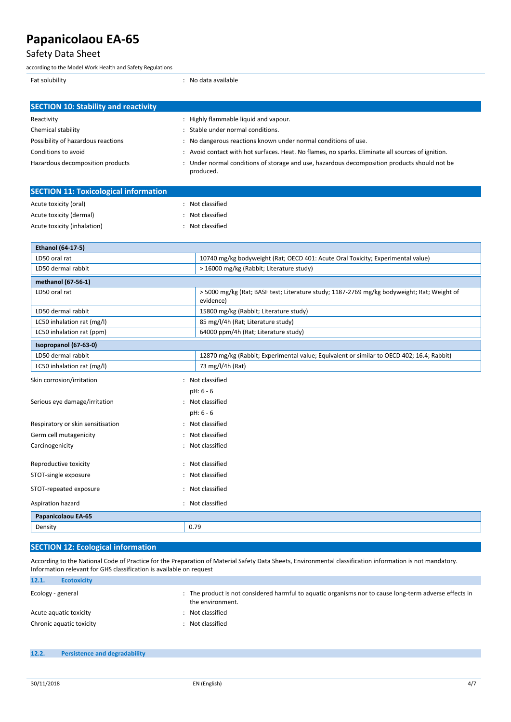### Safety Data Sheet

according to the Model Work Health and Safety Regulations

Fat solubility **and a solubility** and a solubility of  $\overline{a}$  and  $\overline{b}$  and  $\overline{c}$  and  $\overline{d}$  are  $\overline{b}$  and  $\overline{a}$  and  $\overline{a}$  are  $\overline{a}$  and  $\overline{a}$  are  $\overline{a}$  and  $\overline{a}$  are  $\overline{a}$  and  $\overline{a}$  are

| <b>SECTION 10: Stability and reactivity</b> |                                                                                                           |
|---------------------------------------------|-----------------------------------------------------------------------------------------------------------|
| Reactivity                                  | : Highly flammable liquid and vapour.                                                                     |
| Chemical stability                          | Stable under normal conditions.                                                                           |
| Possibility of hazardous reactions          | : No dangerous reactions known under normal conditions of use.                                            |
| Conditions to avoid                         | : Avoid contact with hot surfaces. Heat. No flames, no sparks. Eliminate all sources of ignition.         |
| Hazardous decomposition products            | : Under normal conditions of storage and use, hazardous decomposition products should not be<br>produced. |

| <b>SECTION 11: Toxicological information</b> |                  |  |
|----------------------------------------------|------------------|--|
| Acute toxicity (oral)                        | Not classified   |  |
| Acute toxicity (dermal)                      | : Not classified |  |
| Acute toxicity (inhalation)                  | Not classified   |  |
|                                              |                  |  |
| <b>Ethanol (64-17-5)</b>                     |                  |  |

| LD50 oral rat                     | 10740 mg/kg bodyweight (Rat; OECD 401: Acute Oral Toxicity; Experimental value)                         |  |
|-----------------------------------|---------------------------------------------------------------------------------------------------------|--|
| LD50 dermal rabbit                | > 16000 mg/kg (Rabbit; Literature study)                                                                |  |
| methanol (67-56-1)                |                                                                                                         |  |
| LD50 oral rat                     | > 5000 mg/kg (Rat; BASF test; Literature study; 1187-2769 mg/kg bodyweight; Rat; Weight of<br>evidence) |  |
| LD50 dermal rabbit                | 15800 mg/kg (Rabbit; Literature study)                                                                  |  |
| LC50 inhalation rat (mg/l)        | 85 mg/l/4h (Rat; Literature study)                                                                      |  |
| LC50 inhalation rat (ppm)         | 64000 ppm/4h (Rat; Literature study)                                                                    |  |
| Isopropanol (67-63-0)             |                                                                                                         |  |
| LD50 dermal rabbit                | 12870 mg/kg (Rabbit; Experimental value; Equivalent or similar to OECD 402; 16.4; Rabbit)               |  |
| LC50 inhalation rat (mg/l)        | 73 mg/l/4h (Rat)                                                                                        |  |
| Skin corrosion/irritation         | : Not classified                                                                                        |  |
|                                   | pH: 6 - 6                                                                                               |  |
| Serious eye damage/irritation     | Not classified<br>$\cdot$                                                                               |  |
|                                   | pH: 6 - 6                                                                                               |  |
| Respiratory or skin sensitisation | Not classified                                                                                          |  |
| Germ cell mutagenicity            | Not classified                                                                                          |  |
| Carcinogenicity                   | Not classified                                                                                          |  |
| Reproductive toxicity             | Not classified                                                                                          |  |
| STOT-single exposure              | Not classified                                                                                          |  |
| STOT-repeated exposure            | Not classified                                                                                          |  |
| Aspiration hazard                 | : Not classified                                                                                        |  |
| Papanicolaou EA-65                |                                                                                                         |  |
| Density                           | 0.79                                                                                                    |  |

### **SECTION 12: Ecological information**

According to the National Code of Practice for the Preparation of Material Safety Data Sheets, Environmental classification information is not mandatory. Information relevant for GHS classification is available on request

| 12.1.             | <b>Ecotoxicity</b>       |                                                                                                                            |
|-------------------|--------------------------|----------------------------------------------------------------------------------------------------------------------------|
| Ecology - general |                          | : The product is not considered harmful to aquatic organisms nor to cause long-term adverse effects in<br>the environment. |
|                   | Acute aguatic toxicity   | Not classified                                                                                                             |
|                   | Chronic aquatic toxicity | Not classified                                                                                                             |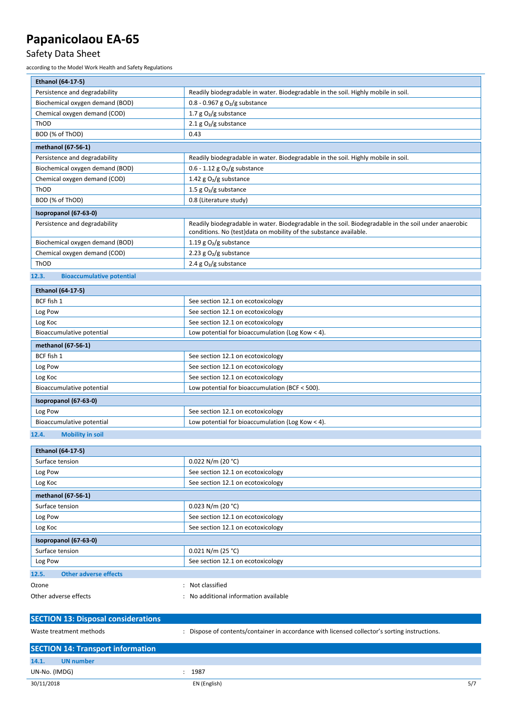### Safety Data Sheet

according to the Model Work Health and Safety Regulations

| Ethanol (64-17-5)                         |                                                                                                                                                                           |  |
|-------------------------------------------|---------------------------------------------------------------------------------------------------------------------------------------------------------------------------|--|
| Persistence and degradability             | Readily biodegradable in water. Biodegradable in the soil. Highly mobile in soil.                                                                                         |  |
| Biochemical oxygen demand (BOD)           | $0.8 - 0.967$ g O <sub>2</sub> /g substance                                                                                                                               |  |
| Chemical oxygen demand (COD)              | 1.7 $g O2/g$ substance                                                                                                                                                    |  |
| ThOD                                      | 2.1 $g O2/g$ substance                                                                                                                                                    |  |
| BOD (% of ThOD)                           | 0.43                                                                                                                                                                      |  |
| methanol (67-56-1)                        |                                                                                                                                                                           |  |
| Persistence and degradability             | Readily biodegradable in water. Biodegradable in the soil. Highly mobile in soil.                                                                                         |  |
| Biochemical oxygen demand (BOD)           | $0.6 - 1.12$ g O <sub>2</sub> /g substance                                                                                                                                |  |
| Chemical oxygen demand (COD)              | 1.42 g $O_2/g$ substance                                                                                                                                                  |  |
| ThOD                                      | 1.5 g $O_2/g$ substance                                                                                                                                                   |  |
| BOD (% of ThOD)                           | 0.8 (Literature study)                                                                                                                                                    |  |
| Isopropanol (67-63-0)                     |                                                                                                                                                                           |  |
| Persistence and degradability             | Readily biodegradable in water. Biodegradable in the soil. Biodegradable in the soil under anaerobic<br>conditions. No (test)data on mobility of the substance available. |  |
| Biochemical oxygen demand (BOD)           | 1.19 g $O_2/g$ substance                                                                                                                                                  |  |
| Chemical oxygen demand (COD)              | 2.23 g $O2/g$ substance                                                                                                                                                   |  |
| ThOD                                      | 2.4 $g O2/g$ substance                                                                                                                                                    |  |
| <b>Bioaccumulative potential</b><br>12.3. |                                                                                                                                                                           |  |
| Ethanol (64-17-5)                         |                                                                                                                                                                           |  |
| BCF fish 1                                | See section 12.1 on ecotoxicology                                                                                                                                         |  |
| Log Pow                                   | See section 12.1 on ecotoxicology                                                                                                                                         |  |
| Log Koc                                   | See section 12.1 on ecotoxicology                                                                                                                                         |  |
| Bioaccumulative potential                 | Low potential for bioaccumulation (Log Kow $<$ 4).                                                                                                                        |  |
| methanol (67-56-1)                        |                                                                                                                                                                           |  |
| BCF fish 1                                | See section 12.1 on ecotoxicology                                                                                                                                         |  |
| Log Pow                                   | See section 12.1 on ecotoxicology                                                                                                                                         |  |
| Log Koc                                   | See section 12.1 on ecotoxicology                                                                                                                                         |  |
| Bioaccumulative potential                 | Low potential for bioaccumulation (BCF < 500).                                                                                                                            |  |
| Isopropanol (67-63-0)                     |                                                                                                                                                                           |  |

## **12.4. Mobility in soil**

Log Pow See section 12.1 on ecotoxicology

Bioaccumulative potential **Low potential Low potential for bioaccumulation (Log Kow < 4).** 

| Ethanol (64-17-5)                          |                                                                                             |
|--------------------------------------------|---------------------------------------------------------------------------------------------|
| Surface tension                            | $0.022$ N/m (20 °C)                                                                         |
| Log Pow                                    | See section 12.1 on ecotoxicology                                                           |
| Log Koc                                    | See section 12.1 on ecotoxicology                                                           |
| methanol (67-56-1)                         |                                                                                             |
| Surface tension                            | $0.023$ N/m (20 °C)                                                                         |
| Log Pow                                    | See section 12.1 on ecotoxicology                                                           |
| Log Koc                                    | See section 12.1 on ecotoxicology                                                           |
| Isopropanol (67-63-0)                      |                                                                                             |
| Surface tension                            | $0.021$ N/m (25 °C)                                                                         |
| Log Pow                                    | See section 12.1 on ecotoxicology                                                           |
| <b>Other adverse effects</b><br>12.5.      |                                                                                             |
| Ozone                                      | Not classified<br>÷                                                                         |
| Other adverse effects                      | No additional information available<br>٠                                                    |
|                                            |                                                                                             |
| <b>SECTION 13: Disposal considerations</b> |                                                                                             |
| Waste treatment methods                    | Dispose of contents/container in accordance with licensed collector's sorting instructions. |

| <b>SECTION 14: Transport information</b> |              |     |
|------------------------------------------|--------------|-----|
| 14.1.<br>UN number                       |              |     |
| UN-No. (IMDG)                            | 1987         |     |
| 30/11/2018                               | EN (English) | 5/7 |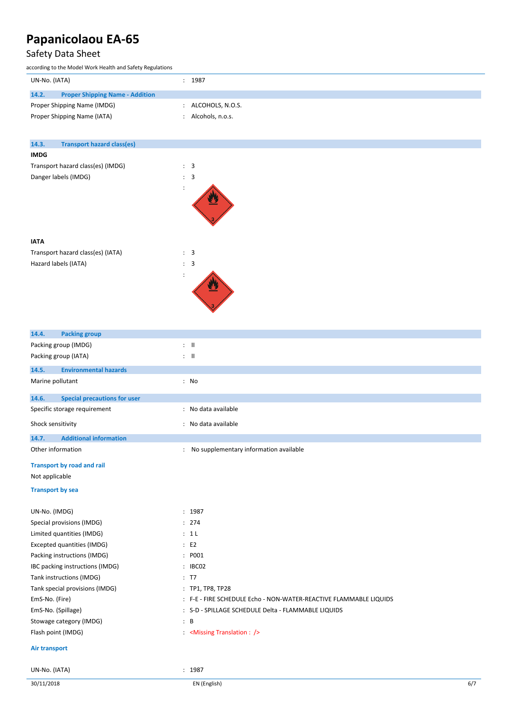### Safety Data Sheet

according to the Model Work Health and Safety Regulations

| UN-No. (IATA)                                   | 1987             |
|-------------------------------------------------|------------------|
| 14.2.<br><b>Proper Shipping Name - Addition</b> |                  |
| Proper Shipping Name (IMDG)                     | ALCOHOLS, N.O.S. |
| Proper Shipping Name (IATA)                     | Alcohols, n.o.s. |
|                                                 |                  |
|                                                 |                  |
|                                                 |                  |
| 14.3.<br><b>Transport hazard class(es)</b>      |                  |

#### **IMDG**

**IATA**

| Transport hazard class(es) (IMDG) |  | -3 |
|-----------------------------------|--|----|
| Danger labels (IMDG)              |  | -3 |
|                                   |  |    |





| 14.4.                   | <b>Packing group</b>                |     |                                                                   |
|-------------------------|-------------------------------------|-----|-------------------------------------------------------------------|
|                         | Packing group (IMDG)                |     | $\therefore$ $\blacksquare$                                       |
|                         | Packing group (IATA)                |     | $\mathbf{H}$ :                                                    |
| 14.5.                   | <b>Environmental hazards</b>        |     |                                                                   |
| Marine pollutant        |                                     |     | : No                                                              |
| 14.6.                   | <b>Special precautions for user</b> |     |                                                                   |
|                         | Specific storage requirement        |     | : No data available                                               |
| Shock sensitivity       |                                     |     | : No data available                                               |
| 14.7.                   | <b>Additional information</b>       |     |                                                                   |
| Other information       |                                     |     | : No supplementary information available                          |
|                         | <b>Transport by road and rail</b>   |     |                                                                   |
| Not applicable          |                                     |     |                                                                   |
| <b>Transport by sea</b> |                                     |     |                                                                   |
| UN-No. (IMDG)           |                                     |     | : 1987                                                            |
|                         | Special provisions (IMDG)           |     | : 274                                                             |
|                         | Limited quantities (IMDG)           |     | : 1L                                                              |
|                         | Excepted quantities (IMDG)          |     | $\therefore$ E2                                                   |
|                         | Packing instructions (IMDG)         |     | : P001                                                            |
|                         | IBC packing instructions (IMDG)     |     | : IBC02                                                           |
|                         | Tank instructions (IMDG)            |     | : T7                                                              |
|                         | Tank special provisions (IMDG)      |     | : TP1, TP8, TP28                                                  |
| EmS-No. (Fire)          |                                     |     | : F-E - FIRE SCHEDULE Echo - NON-WATER-REACTIVE FLAMMABLE LIQUIDS |
| EmS-No. (Spillage)      |                                     |     | : S-D - SPILLAGE SCHEDULE Delta - FLAMMABLE LIQUIDS               |
|                         | Stowage category (IMDG)             | : B |                                                                   |
| Flash point (IMDG)      |                                     |     | <missing :="" translation=""></missing>                           |
|                         | Air transport                       |     |                                                                   |
| UN-No. (IATA)           |                                     |     | : 1987                                                            |